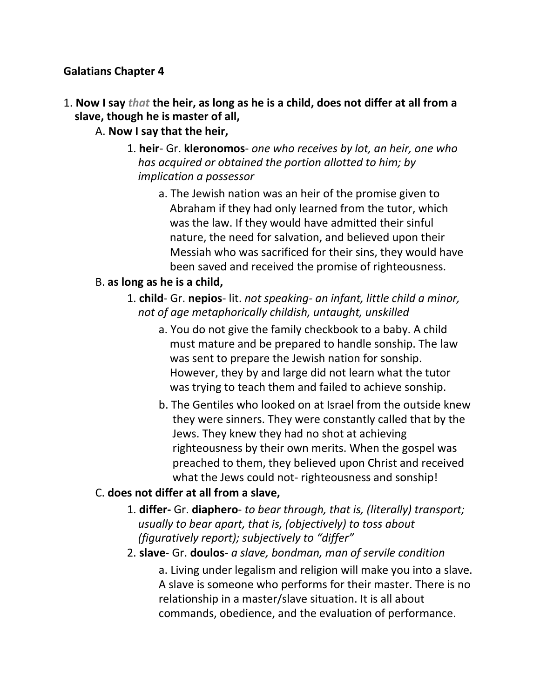### **Galatians Chapter 4**

- 1. **Now I say** *that* **the heir, as long as he is a child, does not differ at all from a slave, though he is master of all,**
	- A. **Now I say that the heir,**
		- 1. **heir** Gr. **kleronomos** *one who receives by lot, an heir, one who* *has acquired or obtained the portion allotted to him; by implication a possessor*
			- a. The Jewish nation was an heir of the promise given to Abraham if they had only learned from the tutor, which was the law. If they would have admitted their sinful nature, the need for salvation, and believed upon their Messiah who was sacrificed for their sins, they would have been saved and received the promise of righteousness.

#### B. **as long as he is a child,**

- 1. **child** Gr. **nepios** lit. *not speaking- an infant, little child a minor,* *not of age metaphorically childish, untaught, unskilled*
	- a. You do not give the family checkbook to a baby. A child must mature and be prepared to handle sonship. The law was sent to prepare the Jewish nation for sonship. However, they by and large did not learn what the tutor was trying to teach them and failed to achieve sonship.
	- b. The Gentiles who looked on at Israel from the outside knew they were sinners. They were constantly called that by the Jews. They knew they had no shot at achieving righteousness by their own merits. When the gospel was preached to them, they believed upon Christ and received what the Jews could not- righteousness and sonship!

#### C. **does not differ at all from a slave,**

- 1. **differ-** Gr. **diaphero** *to bear through, that is, (literally) transport;* *usually to bear apart, that is, (objectively) to toss about (figuratively report); subjectively to "differ"*
- 2. **slave** Gr. **doulos** *a slave, bondman, man of servile condition*

a. Living under legalism and religion will make you into a slave. A slave is someone who performs for their master. There is no relationship in a master/slave situation. It is all about commands, obedience, and the evaluation of performance.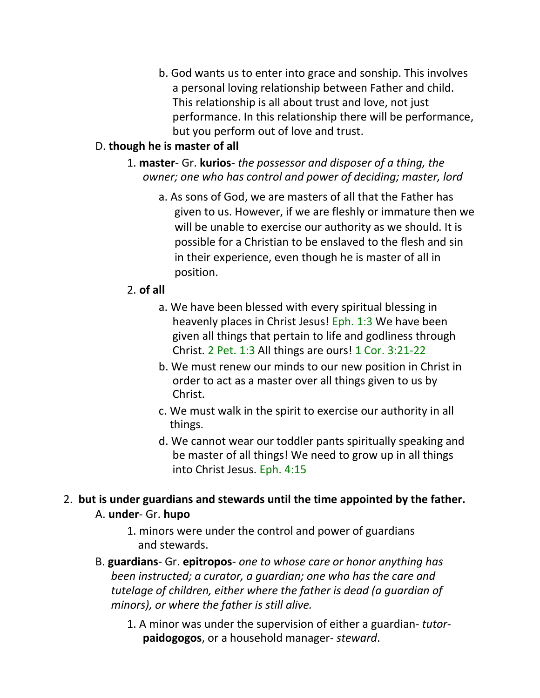b. God wants us to enter into grace and sonship. This involves a personal loving relationship between Father and child. This relationship is all about trust and love, not just performance. In this relationship there will be performance, but you perform out of love and trust.

### D. **though he is master of all**

- 1. **master** Gr. **kurios***- the possessor and disposer of a thing, the owner; one who has control and power of deciding; master, lord*
	- a. As sons of God, we are masters of all that the Father has given to us. However, if we are fleshly or immature then we will be unable to exercise our authority as we should. It is possible for a Christian to be enslaved to the flesh and sin in their experience, even though he is master of all in position.

#### 2. **of all**

- a. We have been blessed with every spiritual blessing in heavenly places in Christ Jesus! Eph. 1:3 We have been given all things that pertain to life and godliness through Christ. 2 Pet. 1:3 All things are ours! 1 Cor. 3:21-22
- b. We must renew our minds to our new position in Christ in order to act as a master over all things given to us by Christ.
- c. We must walk in the spirit to exercise our authority in all things.
- d. We cannot wear our toddler pants spiritually speaking and be master of all things! We need to grow up in all things into Christ Jesus. Eph. 4:15

### 2. **but is under guardians and stewards until the time appointed by the father.** A. **under**- Gr. **hupo**

- 1. minors were under the control and power of guardians and stewards.
- B. **guardians** Gr. **epitropos** *one to whose care or honor anything has been instructed; a curator, a guardian; one who has the care and tutelage of children, either where the father is dead (a guardian of minors), or where the father is still alive.*
	- 1. A minor was under the supervision of either a guardian- *tutor***paidogogos**, or a household manager- *steward*.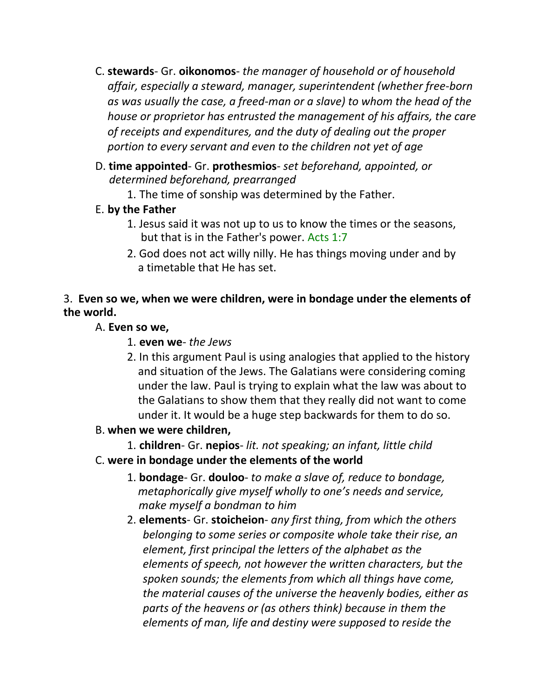- C. **stewards** Gr. **oikonomos** *the manager of household or of household affair, especially a steward, manager, superintendent (whether free-born as was usually the case, a freed-man or a slave) to whom the head of the house or proprietor has entrusted the management of his affairs, the care of receipts and expenditures, and the duty of dealing out the proper portion to every servant and even to the children not yet of age*
- D. **time appointed** Gr. **prothesmios** *set beforehand, appointed, or determined beforehand, prearranged*
	- 1. The time of sonship was determined by the Father.
- E. **by the Father**
	- 1. Jesus said it was not up to us to know the times or the seasons, but that is in the Father's power. Acts 1:7
	- 2. God does not act willy nilly. He has things moving under and by a timetable that He has set.

## 3. **Even so we, when we were children, were in bondage under the elements of the world.**

## A. **Even so we,**

- 1. **even we** *the Jews*
- 2. In this argument Paul is using analogies that applied to the history and situation of the Jews. The Galatians were considering coming under the law. Paul is trying to explain what the law was about to the Galatians to show them that they really did not want to come under it. It would be a huge step backwards for them to do so.

# B. **when we were children,**

1. **children**- Gr. **nepios**- *lit. not speaking; an infant, little child*

# C. **were in bondage under the elements of the world**

- 1. **bondage** Gr. **douloo** *to make a slave of, reduce to bondage,* *metaphorically give myself wholly to one's needs and service, make myself a bondman to him*
- 2. **elements** Gr. **stoicheion** *any first thing, from which the others belonging to some series or composite whole take their rise, an element, first principal the letters of the alphabet as the elements of speech, not however the written characters, but the spoken sounds; the elements from which all things have come, the material causes of the universe the heavenly bodies, either as parts of the heavens or (as others think) because in them the elements of man, life and destiny were supposed to reside the*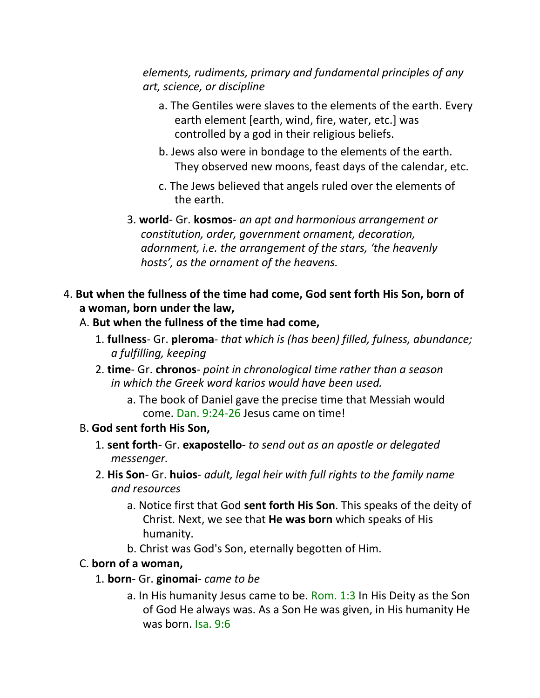*elements, rudiments, primary and fundamental principles of any art, science, or discipline*

- a. The Gentiles were slaves to the elements of the earth. Every earth element [earth, wind, fire, water, etc.] was controlled by a god in their religious beliefs.
- b. Jews also were in bondage to the elements of the earth. They observed new moons, feast days of the calendar, etc.
- c. The Jews believed that angels ruled over the elements of the earth.
- 3. **world** Gr. **kosmos** *an apt and harmonious arrangement or* *constitution, order, government ornament, decoration, adornment, i.e. the arrangement of the stars, 'the heavenly hosts', as the ornament of the heavens.*
- 4. **But when the fullness of the time had come, God sent forth His Son, born of a woman, born under the law,**
	- A. **But when the fullness of the time had come,**
		- 1. **fullness** Gr. **pleroma** *that which is (has been) filled, fulness, abundance; a fulfilling, keeping*
		- 2. **time** Gr. **chronos** *point in chronological time rather than a season in which the Greek word karios would have been used.*
			- a. The book of Daniel gave the precise time that Messiah would come. Dan. 9:24-26 Jesus came on time!

#### B. **God sent forth His Son,**

- 1. **sent forth** Gr. **exapostello-** *to send out as an apostle or delegated messenger.*
- 2. **His Son** Gr. **huios** *adult, legal heir with full rights to the family name and resources*
	- a. Notice first that God **sent forth His Son**. This speaks of the deity of Christ. Next, we see that **He was born** which speaks of His humanity.
	- b. Christ was God's Son, eternally begotten of Him.

#### C. **born of a woman,**

- 1. **born** Gr. **ginomai** *came to be*
	- a. In His humanity Jesus came to be. Rom. 1:3 In His Deity as the Son of God He always was. As a Son He was given, in His humanity He was born. Isa. 9:6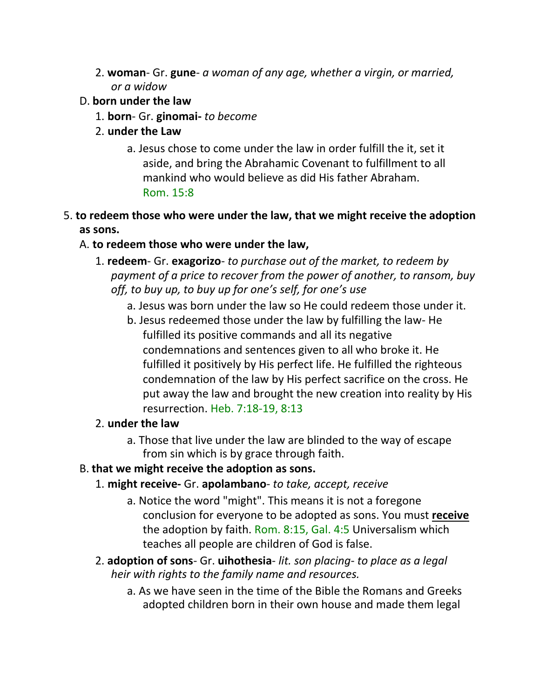- 2. **woman** Gr. **gune** *a woman of any age, whether a virgin, or married, or a widow*
- D. **born under the law**
	- 1. **born** Gr. **ginomai-** *to become*
	- 2. **under the Law**
		- a. Jesus chose to come under the law in order fulfill the it, set it aside, and bring the Abrahamic Covenant to fulfillment to all mankind who would believe as did His father Abraham. Rom. 15:8
- 5. **to redeem those who were under the law, that we might receive the adoption as sons.**
	- A. **to redeem those who were under the law,**
		- 1. **redeem** Gr. **exagorizo** *to purchase out of the market, to redeem by payment of a price to recover from the power of another, to ransom, buy off, to buy up, to buy up for one's self, for one's use*
			- a. Jesus was born under the law so He could redeem those under it.
			- b. Jesus redeemed those under the law by fulfilling the law- He fulfilled its positive commands and all its negative condemnations and sentences given to all who broke it. He fulfilled it positively by His perfect life. He fulfilled the righteous condemnation of the law by His perfect sacrifice on the cross. He put away the law and brought the new creation into reality by His resurrection. Heb. 7:18-19, 8:13
		- 2. **under the law**
			- a. Those that live under the law are blinded to the way of escape from sin which is by grace through faith.
	- B. **that we might receive the adoption as sons.**
		- 1. **might receive-** Gr. **apolambano** *to take, accept, receive*
			- a. Notice the word "might". This means it is not a foregone conclusion for everyone to be adopted as sons. You must **receive** the adoption by faith. Rom. 8:15, Gal. 4:5 Universalism which teaches all people are children of God is false.
		- 2. **adoption of sons** Gr. **uihothesia** *lit. son placing to place as a legal heir with rights to the family name and resources.*
			- a. As we have seen in the time of the Bible the Romans and Greeks adopted children born in their own house and made them legal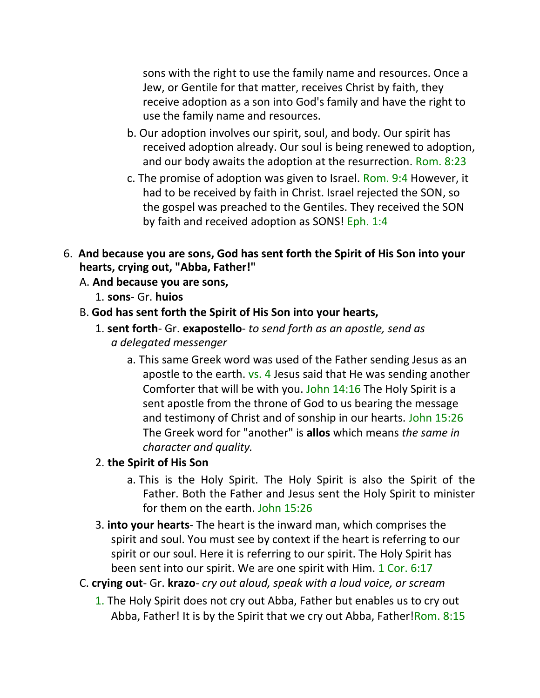sons with the right to use the family name and resources. Once a Jew, or Gentile for that matter, receives Christ by faith, they receive adoption as a son into God's family and have the right to use the family name and resources.

- b. Our adoption involves our spirit, soul, and body. Our spirit has received adoption already. Our soul is being renewed to adoption, and our body awaits the adoption at the resurrection. Rom. 8:23
- c. The promise of adoption was given to Israel. Rom. 9:4 However, it had to be received by faith in Christ. Israel rejected the SON, so the gospel was preached to the Gentiles. They received the SON by faith and received adoption as SONS! Eph. 1:4
- 6. **And because you are sons, God has sent forth the Spirit of His Son into your hearts, crying out, "Abba, Father!"**
	- A. **And because you are sons,**
		- 1. **sons** Gr. **huios**
	- B. **God has sent forth the Spirit of His Son into your hearts,**
		- 1. **sent forth** Gr. **exapostello** *to send forth as an apostle, send as a delegated messenger*
			- a. This same Greek word was used of the Father sending Jesus as an apostle to the earth. vs. 4 Jesus said that He was sending another Comforter that will be with you. John 14:16 The Holy Spirit is a sent apostle from the throne of God to us bearing the message and testimony of Christ and of sonship in our hearts. John 15:26 The Greek word for "another" is **allos** which means *the same in character and quality.*

## 2. **the Spirit of His Son**

- a. This is the Holy Spirit. The Holy Spirit is also the Spirit of the Father. Both the Father and Jesus sent the Holy Spirit to minister for them on the earth. John 15:26
- 3. **into your hearts** The heart is the inward man, which comprises the spirit and soul. You must see by context if the heart is referring to our spirit or our soul. Here it is referring to our spirit. The Holy Spirit has been sent into our spirit. We are one spirit with Him. 1 Cor. 6:17
- C. **crying out** Gr. **krazo** *cry out aloud, speak with a loud voice, or scream*
	- 1. The Holy Spirit does not cry out Abba, Father but enables us to cry out Abba, Father! It is by the Spirit that we cry out Abba, Father!Rom. 8:15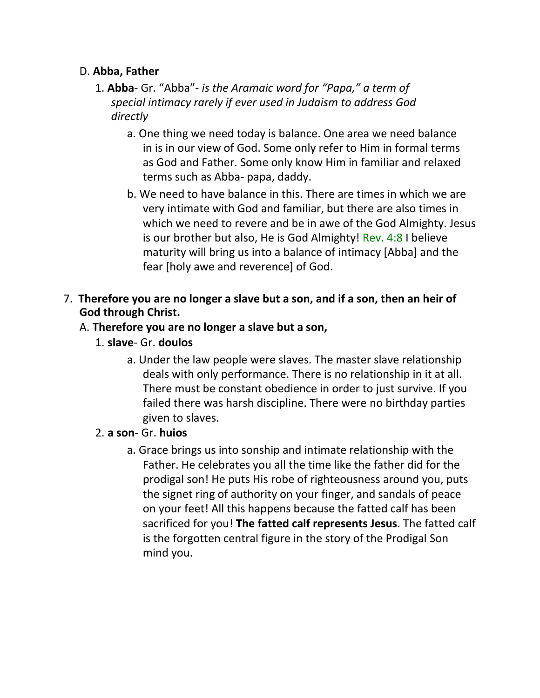#### D. **Abba, Father**

- 1. **Abba** Gr. "Abba"- *is the Aramaic word for "Papa," a term of special intimacy rarely if ever used in Judaism to address God directly*
	- a. One thing we need today is balance. One area we need balance in is in our view of God. Some only refer to Him in formal terms as God and Father. Some only know Him in familiar and relaxed terms such as Abba- papa, daddy.
	- b. We need to have balance in this. There are times in which we are very intimate with God and familiar, but there are also times in which we need to revere and be in awe of the God Almighty. Jesus is our brother but also, He is God Almighty! Rev. 4:8 I believe maturity will bring us into a balance of intimacy [Abba] and the fear [holy awe and reverence] of God.
- 7. **Therefore you are no longer a slave but a son, and if a son, then an heir of God through Christ.**

## A. **Therefore you are no longer a slave but a son,**

- 1. **slave** Gr. **doulos**
	- a. Under the law people were slaves. The master slave relationship deals with only performance. There is no relationship in it at all. There must be constant obedience in order to just survive. If you failed there was harsh discipline. There were no birthday parties given to slaves.

### 2. **a son**- Gr. **huios**

a. Grace brings us into sonship and intimate relationship with the Father. He celebrates you all the time like the father did for the prodigal son! He puts His robe of righteousness around you, puts the signet ring of authority on your finger, and sandals of peace on your feet! All this happens because the fatted calf has been sacrificed for you! **The fatted calf represents Jesus**. The fatted calf is the forgotten central figure in the story of the Prodigal Son mind you.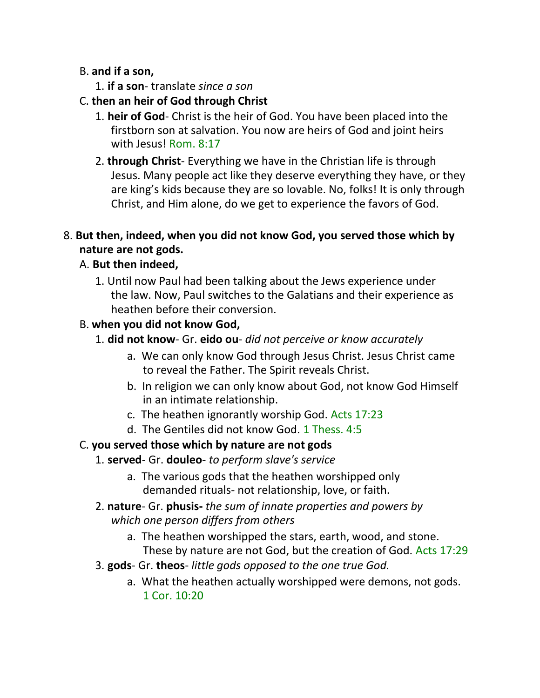#### B. **and if a son,**

- 1. **if a son** translate *since a son*
- C. **then an heir of God through Christ**
	- 1. **heir of God** Christ is the heir of God. You have been placed into the firstborn son at salvation. You now are heirs of God and joint heirs with Jesus! Rom. 8:17
	- 2. **through Christ** Everything we have in the Christian life is through Jesus. Many people act like they deserve everything they have, or they are king's kids because they are so lovable. No, folks! It is only through Christ, and Him alone, do we get to experience the favors of God.

### 8. **But then, indeed, when you did not know God, you served those which by nature are not gods.**

### A. **But then indeed,**

1. Until now Paul had been talking about the Jews experience under the law. Now, Paul switches to the Galatians and their experience as heathen before their conversion.

### B. **when you did not know God,**

- 1. **did not know** Gr. **eido ou** *did not perceive or know accurately*
	- a. We can only know God through Jesus Christ. Jesus Christ came to reveal the Father. The Spirit reveals Christ.
	- b. In religion we can only know about God, not know God Himself in an intimate relationship.
	- c. The heathen ignorantly worship God. Acts 17:23
	- d. The Gentiles did not know God. 1 Thess. 4:5

## C. **you served those which by nature are not gods**

## 1. **served**- Gr. **douleo**- *to perform slave's service*

- a. The various gods that the heathen worshipped only demanded rituals- not relationship, love, or faith.
- 2. **nature** Gr. **phusis-** *the sum of innate properties and powers by which one person differs from others*
	- a. The heathen worshipped the stars, earth, wood, and stone. These by nature are not God, but the creation of God. Acts 17:29
- 3. **gods** Gr. **theos** *little gods opposed to the one true God.*
	- a. What the heathen actually worshipped were demons, not gods. 1 Cor. 10:20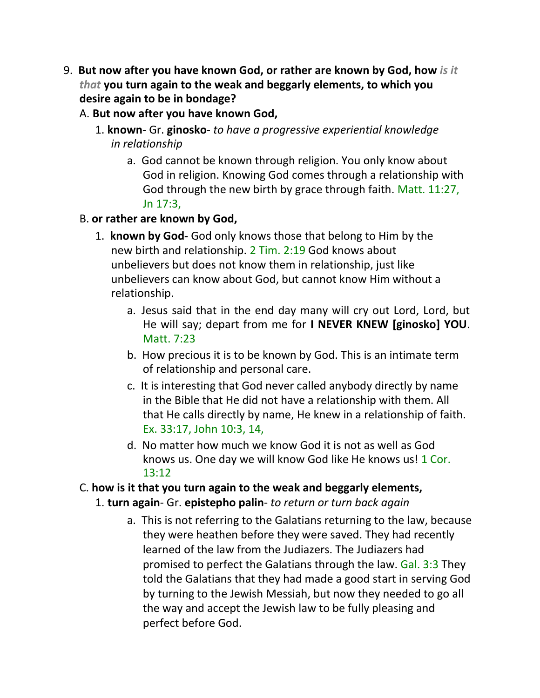- 9. **But now after you have known God, or rather are known by God, how** *is it that* **you turn again to the weak and beggarly elements, to which you desire again to be in bondage?**
	- A. **But now after you have known God,**
		- 1. **known** Gr. **ginosko** *to have a progressive experiential knowledge in relationship*
			- a. God cannot be known through religion. You only know about God in religion. Knowing God comes through a relationship with God through the new birth by grace through faith. Matt. 11:27, Jn 17:3,
	- B. **or rather are known by God,**
		- 1. **known by God-** God only knows those that belong to Him by the new birth and relationship. 2 Tim. 2:19 God knows about unbelievers but does not know them in relationship, just like unbelievers can know about God, but cannot know Him without a relationship.
			- a. Jesus said that in the end day many will cry out Lord, Lord, but He will say; depart from me for **I NEVER KNEW [ginosko] YOU**. Matt. 7:23
			- b. How precious it is to be known by God. This is an intimate term of relationship and personal care.
			- c. It is interesting that God never called anybody directly by name in the Bible that He did not have a relationship with them. All that He calls directly by name, He knew in a relationship of faith. Ex. 33:17, John 10:3, 14,
			- d. No matter how much we know God it is not as well as God knows us. One day we will know God like He knows us! 1 Cor. 13:12

## C. **how is it that you turn again to the weak and beggarly elements,**

- 1. **turn again** Gr. **epistepho palin** *to return or turn back again*
	- a. This is not referring to the Galatians returning to the law, because they were heathen before they were saved. They had recently learned of the law from the Judiazers. The Judiazers had promised to perfect the Galatians through the law. Gal. 3:3 They told the Galatians that they had made a good start in serving God by turning to the Jewish Messiah, but now they needed to go all the way and accept the Jewish law to be fully pleasing and perfect before God.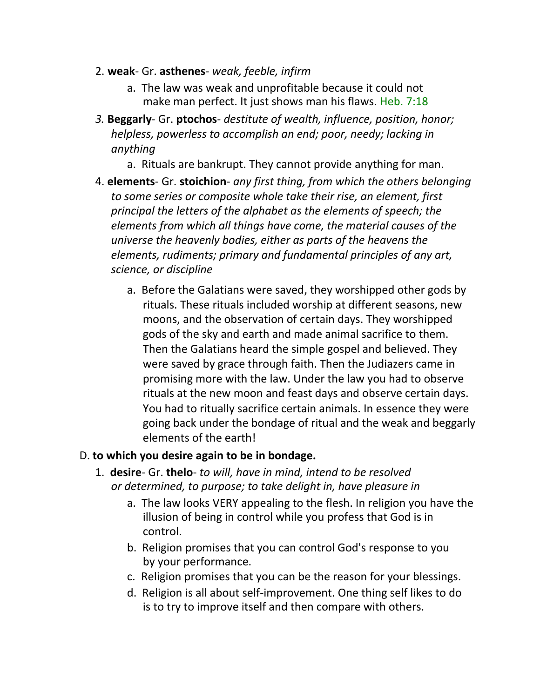- 2. **weak** Gr. **asthenes** *weak, feeble, infirm*
	- a. The law was weak and unprofitable because it could not make man perfect. It just shows man his flaws. Heb. 7:18
- *3.* **Beggarly** Gr. **ptochos** *destitute of wealth, influence, position, honor; helpless, powerless to accomplish an end; poor, needy; lacking in anything*
	- a. Rituals are bankrupt. They cannot provide anything for man.
- 4. **elements** Gr. **stoichion** *any first thing, from which the others belonging to some series or composite whole take their rise, an element, first principal the letters of the alphabet as the elements of speech; the elements from which all things have come, the material causes of the universe the heavenly bodies, either as parts of the heavens the elements, rudiments; primary and fundamental principles of any art, science, or discipline*
	- a. Before the Galatians were saved, they worshipped other gods by rituals. These rituals included worship at different seasons, new moons, and the observation of certain days. They worshipped gods of the sky and earth and made animal sacrifice to them. Then the Galatians heard the simple gospel and believed. They were saved by grace through faith. Then the Judiazers came in promising more with the law. Under the law you had to observe rituals at the new moon and feast days and observe certain days. You had to ritually sacrifice certain animals. In essence they were going back under the bondage of ritual and the weak and beggarly elements of the earth!

#### D. **to which you desire again to be in bondage.**

- 1. **desire** Gr. **thelo** *to will, have in mind, intend to be resolved or determined, to purpose; to take delight in, have pleasure in*
	- a. The law looks VERY appealing to the flesh. In religion you have the illusion of being in control while you profess that God is in control.
	- b. Religion promises that you can control God's response to you by your performance.
	- c. Religion promises that you can be the reason for your blessings.
	- d. Religion is all about self-improvement. One thing self likes to do is to try to improve itself and then compare with others.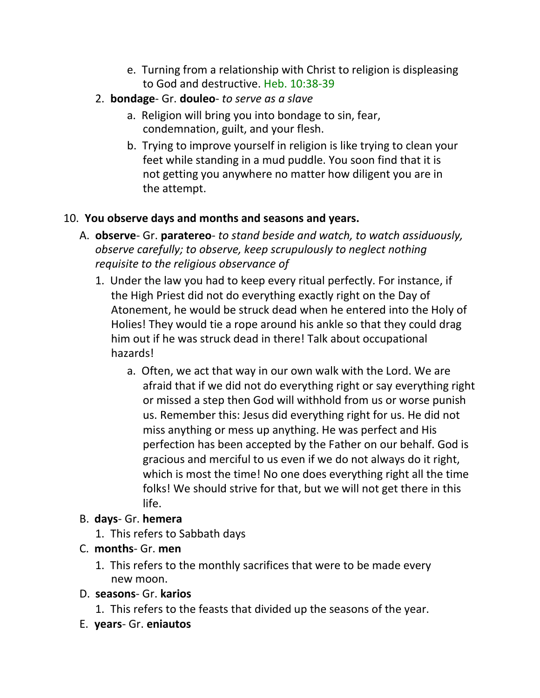- e. Turning from a relationship with Christ to religion is displeasing to God and destructive. Heb. 10:38-39
- 2. **bondage** Gr. **douleo** *to serve as a slave*
	- a. Religion will bring you into bondage to sin, fear, condemnation, guilt, and your flesh.
	- b. Trying to improve yourself in religion is like trying to clean your feet while standing in a mud puddle. You soon find that it is not getting you anywhere no matter how diligent you are in the attempt.

# 10. **You observe days and months and seasons and years.**

- A. **observe** Gr. **paratereo** *to stand beside and watch, to watch assiduously, observe carefully; to observe, keep scrupulously to neglect nothing requisite to the religious observance of*
	- 1. Under the law you had to keep every ritual perfectly. For instance, if the High Priest did not do everything exactly right on the Day of Atonement, he would be struck dead when he entered into the Holy of Holies! They would tie a rope around his ankle so that they could drag him out if he was struck dead in there! Talk about occupational hazards!
		- a. Often, we act that way in our own walk with the Lord. We are afraid that if we did not do everything right or say everything right or missed a step then God will withhold from us or worse punish us. Remember this: Jesus did everything right for us. He did not miss anything or mess up anything. He was perfect and His perfection has been accepted by the Father on our behalf. God is gracious and merciful to us even if we do not always do it right, which is most the time! No one does everything right all the time folks! We should strive for that, but we will not get there in this life.

# B. **days**- Gr. **hemera**

- 1. This refers to Sabbath days
- C. **months** Gr. **men**
	- 1. This refers to the monthly sacrifices that were to be made every new moon.
- D. **seasons** Gr. **karios**
	- 1. This refers to the feasts that divided up the seasons of the year.
- E. **years** Gr. **eniautos**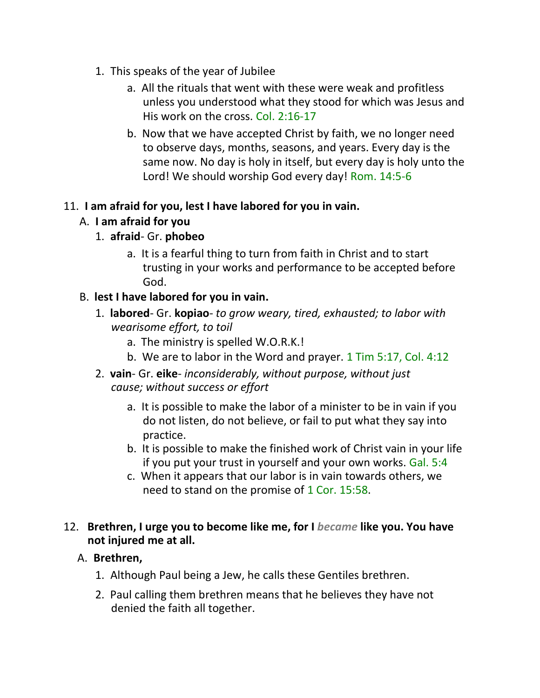- 1. This speaks of the year of Jubilee
	- a. All the rituals that went with these were weak and profitless unless you understood what they stood for which was Jesus and His work on the cross. Col. 2:16-17
	- b. Now that we have accepted Christ by faith, we no longer need to observe days, months, seasons, and years. Every day is the same now. No day is holy in itself, but every day is holy unto the Lord! We should worship God every day! Rom. 14:5-6

### 11. **I am afraid for you, lest I have labored for you in vain.**

## A. **I am afraid for you**

## 1. **afraid**- Gr. **phobeo**

a. It is a fearful thing to turn from faith in Christ and to start trusting in your works and performance to be accepted before God.

## B. **lest I have labored for you in vain.**

- 1. **labored** Gr. **kopiao** *to grow weary, tired, exhausted; to labor with wearisome effort, to toil*
	- a. The ministry is spelled W.O.R.K.!
	- b. We are to labor in the Word and prayer. 1 Tim 5:17, Col. 4:12
- 2. **vain** Gr. **eike** *inconsiderably, without purpose, without just cause; without success or effort*
	- a. It is possible to make the labor of a minister to be in vain if you do not listen, do not believe, or fail to put what they say into practice.
	- b. It is possible to make the finished work of Christ vain in your life if you put your trust in yourself and your own works. Gal. 5:4
	- c. When it appears that our labor is in vain towards others, we need to stand on the promise of 1 Cor. 15:58.

### 12. **Brethren, I urge you to become like me, for I** *became* **like you. You have not injured me at all.**

## A. **Brethren,**

- 1. Although Paul being a Jew, he calls these Gentiles brethren.
- 2. Paul calling them brethren means that he believes they have not denied the faith all together.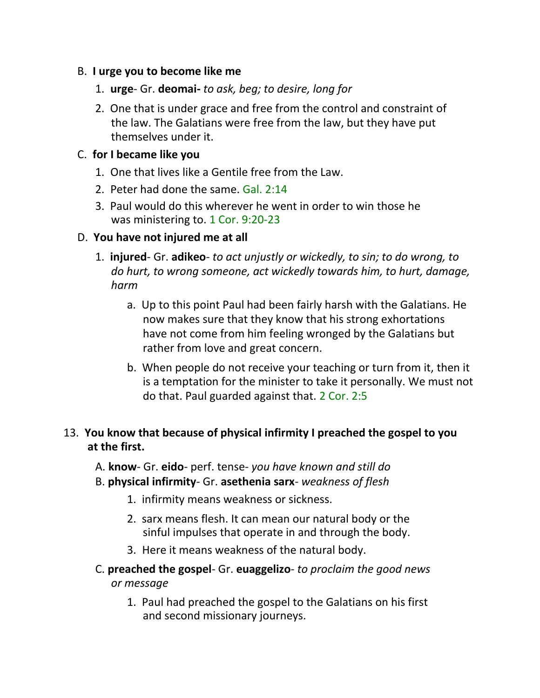#### B. **I urge you to become like me**

- 1. **urge** Gr. **deomai-** *to ask, beg; to desire, long for*
- 2. One that is under grace and free from the control and constraint of the law. The Galatians were free from the law, but they have put themselves under it.

#### C. **for I became like you**

- 1. One that lives like a Gentile free from the Law.
- 2. Peter had done the same. Gal. 2:14
- 3. Paul would do this wherever he went in order to win those he was ministering to. 1 Cor. 9:20-23

#### D. **You have not injured me at all**

- 1. **injured** Gr. **adikeo** *to act unjustly or wickedly, to sin; to do wrong, to do hurt, to wrong someone, act wickedly towards him, to hurt, damage, harm*
	- a. Up to this point Paul had been fairly harsh with the Galatians. He now makes sure that they know that his strong exhortations have not come from him feeling wronged by the Galatians but rather from love and great concern.
	- b. When people do not receive your teaching or turn from it, then it is a temptation for the minister to take it personally. We must not do that. Paul guarded against that. 2 Cor. 2:5

#### 13. **You know that because of physical infirmity I preached the gospel to you at the first.**

- A. **know** Gr. **eido** perf. tense- *you have known and still do*
- B. **physical infirmity** Gr. **asethenia sarx** *weakness of flesh*
	- 1. infirmity means weakness or sickness.
	- 2. sarx means flesh. It can mean our natural body or the sinful impulses that operate in and through the body.
	- 3. Here it means weakness of the natural body.
- C. **preached the gospel** Gr. **euaggelizo** *to proclaim the good news or message*
	- 1. Paul had preached the gospel to the Galatians on his first and second missionary journeys.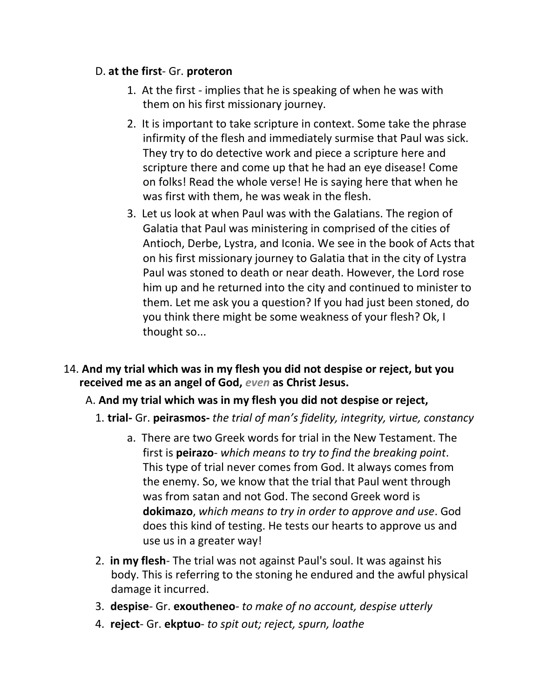#### D. **at the first**- Gr. **proteron**

- 1. At the first implies that he is speaking of when he was with them on his first missionary journey.
- 2. It is important to take scripture in context. Some take the phrase infirmity of the flesh and immediately surmise that Paul was sick. They try to do detective work and piece a scripture here and scripture there and come up that he had an eye disease! Come on folks! Read the whole verse! He is saying here that when he was first with them, he was weak in the flesh.
- 3. Let us look at when Paul was with the Galatians. The region of Galatia that Paul was ministering in comprised of the cities of Antioch, Derbe, Lystra, and Iconia. We see in the book of Acts that on his first missionary journey to Galatia that in the city of Lystra Paul was stoned to death or near death. However, the Lord rose him up and he returned into the city and continued to minister to them. Let me ask you a question? If you had just been stoned, do you think there might be some weakness of your flesh? Ok, I thought so...
- 14. **And my trial which was in my flesh you did not despise or reject, but you received me as an angel of God,** *even* **as Christ Jesus.**
	- A. **And my trial which was in my flesh you did not despise or reject,**
		- 1. **trial-** Gr. **peirasmos-** *the trial of man's fidelity, integrity, virtue, constancy*
			- a. There are two Greek words for trial in the New Testament. The first is **peirazo**- *which means to try to find the breaking point*. This type of trial never comes from God. It always comes from the enemy. So, we know that the trial that Paul went through was from satan and not God. The second Greek word is **dokimazo**, *which means to try in order to approve and use*. God does this kind of testing. He tests our hearts to approve us and use us in a greater way!
		- 2. **in my flesh** The trial was not against Paul's soul. It was against his body. This is referring to the stoning he endured and the awful physical damage it incurred.
		- 3. **despise** Gr. **exoutheneo** *to make of no account, despise utterly*
		- 4. **reject** Gr. **ekptuo** *to spit out; reject, spurn, loathe*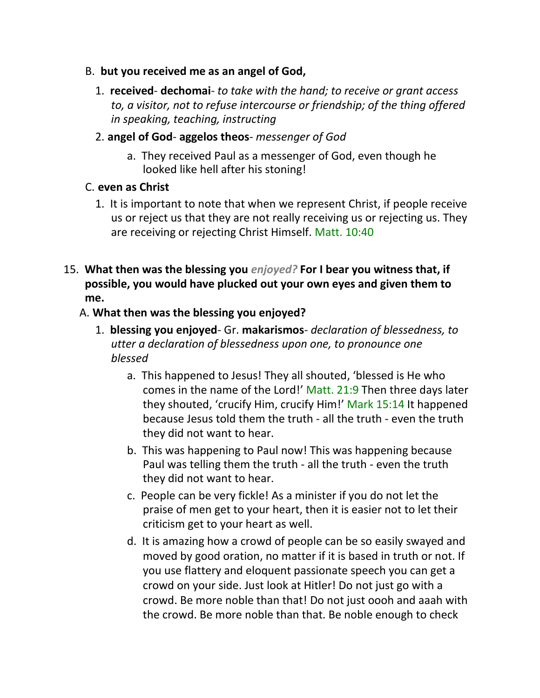- B. **but you received me as an angel of God,**
	- 1. **received dechomai** *to take with the hand; to receive or grant access to, a visitor, not to refuse intercourse or friendship; of the thing offered in speaking, teaching, instructing*
	- 2. **angel of God aggelos theos** *messenger of God*
		- a. They received Paul as a messenger of God, even though he looked like hell after his stoning!

#### C. **even as Christ**

- 1. It is important to note that when we represent Christ, if people receive us or reject us that they are not really receiving us or rejecting us. They are receiving or rejecting Christ Himself. Matt. 10:40
- 15. **What then was the blessing you** *enjoyed?* **For I bear you witness that, if possible, you would have plucked out your own eyes and given them to me.**

#### A. **What then was the blessing you enjoyed?**

- 1. **blessing you enjoyed** Gr. **makarismos** *declaration of blessedness, to utter a declaration of blessedness upon one, to pronounce one blessed*
	- a. This happened to Jesus! They all shouted, 'blessed is He who comes in the name of the Lord!' Matt. 21:9 Then three days later they shouted, 'crucify Him, crucify Him!' Mark 15:14 It happened because Jesus told them the truth - all the truth - even the truth they did not want to hear.
	- b. This was happening to Paul now! This was happening because Paul was telling them the truth - all the truth - even the truth they did not want to hear.
	- c. People can be very fickle! As a minister if you do not let the praise of men get to your heart, then it is easier not to let their criticism get to your heart as well.
	- d. It is amazing how a crowd of people can be so easily swayed and moved by good oration, no matter if it is based in truth or not. If you use flattery and eloquent passionate speech you can get a crowd on your side. Just look at Hitler! Do not just go with a crowd. Be more noble than that! Do not just oooh and aaah with the crowd. Be more noble than that. Be noble enough to check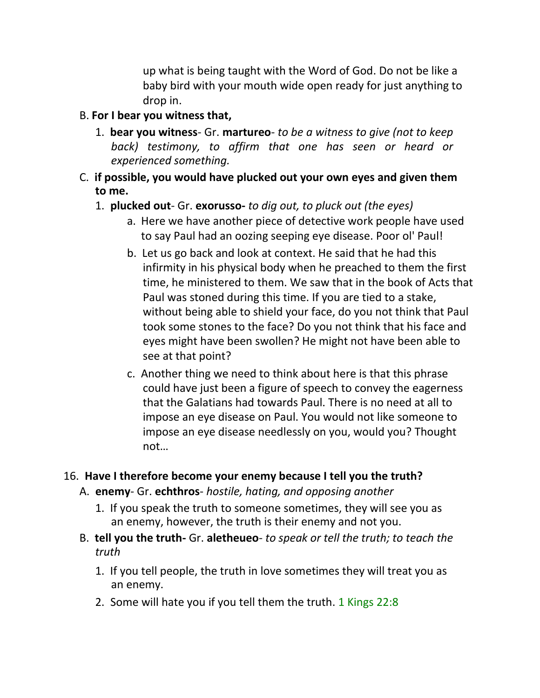up what is being taught with the Word of God. Do not be like a baby bird with your mouth wide open ready for just anything to drop in.

#### B. **For I bear you witness that,**

- 1. **bear you witness** Gr. **martureo** *to be a witness to give (not to keep back) testimony, to affirm that one has seen or heard or experienced something.*
- C. **if possible, you would have plucked out your own eyes and given them to me.**
	- 1. **plucked out** Gr. **exorusso-** *to dig out, to pluck out (the eyes)*
		- a. Here we have another piece of detective work people have used to say Paul had an oozing seeping eye disease. Poor ol' Paul!
		- b. Let us go back and look at context. He said that he had this infirmity in his physical body when he preached to them the first time, he ministered to them. We saw that in the book of Acts that Paul was stoned during this time. If you are tied to a stake, without being able to shield your face, do you not think that Paul took some stones to the face? Do you not think that his face and eyes might have been swollen? He might not have been able to see at that point?
		- c. Another thing we need to think about here is that this phrase could have just been a figure of speech to convey the eagerness that the Galatians had towards Paul. There is no need at all to impose an eye disease on Paul. You would not like someone to impose an eye disease needlessly on you, would you? Thought not…

## 16. **Have I therefore become your enemy because I tell you the truth?**

- A. **enemy** Gr. **echthros** *hostile, hating, and opposing another*
	- 1. If you speak the truth to someone sometimes, they will see you as an enemy, however, the truth is their enemy and not you.
- B. **tell you the truth-** Gr. **aletheueo** *to speak or tell the truth; to teach the truth*
	- 1. If you tell people, the truth in love sometimes they will treat you as an enemy.
	- 2. Some will hate you if you tell them the truth. 1 Kings 22:8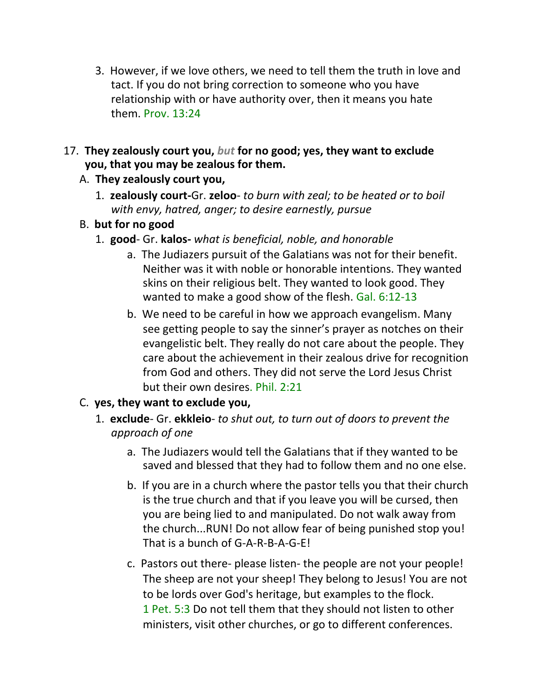- 3. However, if we love others, we need to tell them the truth in love and tact. If you do not bring correction to someone who you have relationship with or have authority over, then it means you hate them. Prov. 13:24
- 17. **They zealously court you,** *but* **for no good; yes, they want to exclude you, that you may be zealous for them.**
	- A. **They zealously court you,**
		- 1. **zealously court-**Gr. **zeloo** *to burn with zeal; to be heated or to boil with envy, hatred, anger; to desire earnestly, pursue*
	- B. **but for no good**
		- 1. **good** Gr. **kalos-** *what is beneficial, noble, and honorable*
			- a. The Judiazers pursuit of the Galatians was not for their benefit. Neither was it with noble or honorable intentions. They wanted skins on their religious belt. They wanted to look good. They wanted to make a good show of the flesh. Gal. 6:12-13
			- b. We need to be careful in how we approach evangelism. Many see getting people to say the sinner's prayer as notches on their evangelistic belt. They really do not care about the people. They care about the achievement in their zealous drive for recognition from God and others. They did not serve the Lord Jesus Christ but their own desires. Phil. 2:21

## C. **yes, they want to exclude you,**

- 1. **exclude** Gr. **ekkleio** *to shut out, to turn out of doors to prevent the approach of one*
	- a. The Judiazers would tell the Galatians that if they wanted to be saved and blessed that they had to follow them and no one else.
	- b. If you are in a church where the pastor tells you that their church is the true church and that if you leave you will be cursed, then you are being lied to and manipulated. Do not walk away from the church...RUN! Do not allow fear of being punished stop you! That is a bunch of G-A-R-B-A-G-E!
	- c. Pastors out there- please listen- the people are not your people! The sheep are not your sheep! They belong to Jesus! You are not to be lords over God's heritage, but examples to the flock. 1 Pet. 5:3 Do not tell them that they should not listen to other ministers, visit other churches, or go to different conferences.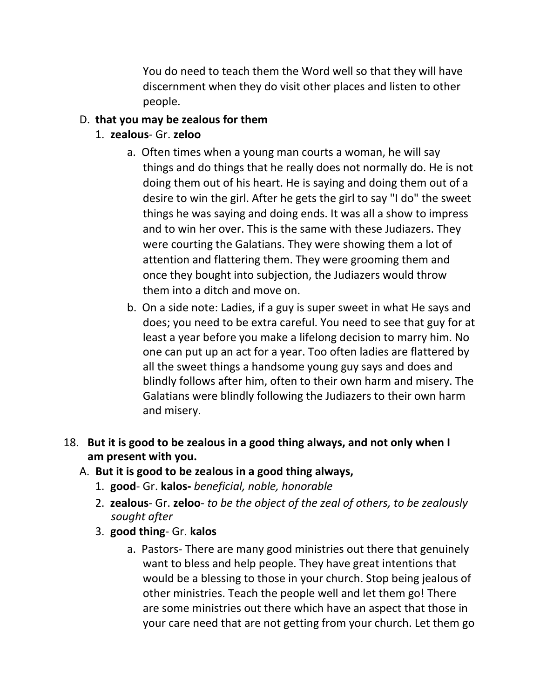You do need to teach them the Word well so that they will have discernment when they do visit other places and listen to other people.

## D. **that you may be zealous for them**

- 1. **zealous** Gr. **zeloo**
	- a. Often times when a young man courts a woman, he will say things and do things that he really does not normally do. He is not doing them out of his heart. He is saying and doing them out of a desire to win the girl. After he gets the girl to say "I do" the sweet things he was saying and doing ends. It was all a show to impress and to win her over. This is the same with these Judiazers. They were courting the Galatians. They were showing them a lot of attention and flattering them. They were grooming them and once they bought into subjection, the Judiazers would throw them into a ditch and move on.
	- b. On a side note: Ladies, if a guy is super sweet in what He says and does; you need to be extra careful. You need to see that guy for at least a year before you make a lifelong decision to marry him. No one can put up an act for a year. Too often ladies are flattered by all the sweet things a handsome young guy says and does and blindly follows after him, often to their own harm and misery. The Galatians were blindly following the Judiazers to their own harm and misery.
- 18. **But it is good to be zealous in a good thing always, and not only when I am present with you.**
	- A. **But it is good to be zealous in a good thing always,**
		- 1. **good** Gr. **kalos-** *beneficial, noble, honorable*
		- 2. **zealous** Gr. **zeloo** *to be the object of the zeal of others, to be zealously sought after*
		- 3. **good thing** Gr. **kalos**
			- a. Pastors- There are many good ministries out there that genuinely want to bless and help people. They have great intentions that would be a blessing to those in your church. Stop being jealous of other ministries. Teach the people well and let them go! There are some ministries out there which have an aspect that those in your care need that are not getting from your church. Let them go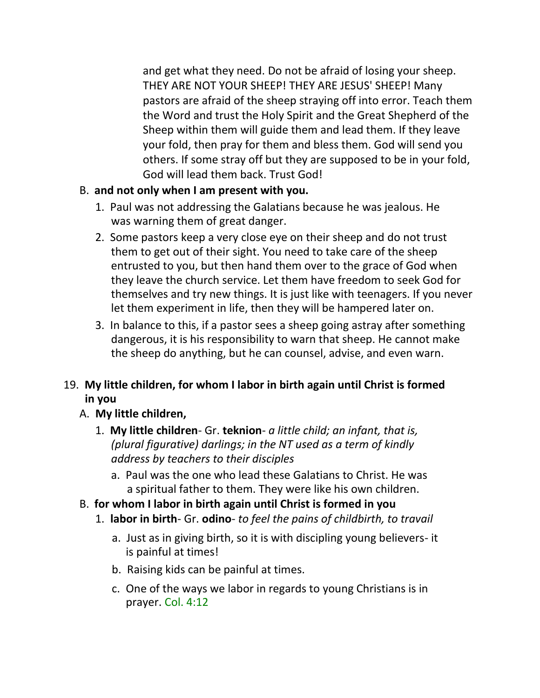and get what they need. Do not be afraid of losing your sheep. THEY ARE NOT YOUR SHEEP! THEY ARE JESUS' SHEEP! Many pastors are afraid of the sheep straying off into error. Teach them the Word and trust the Holy Spirit and the Great Shepherd of the Sheep within them will guide them and lead them. If they leave your fold, then pray for them and bless them. God will send you others. If some stray off but they are supposed to be in your fold, God will lead them back. Trust God!

## B. **and not only when I am present with you.**

- 1. Paul was not addressing the Galatians because he was jealous. He was warning them of great danger.
- 2. Some pastors keep a very close eye on their sheep and do not trust them to get out of their sight. You need to take care of the sheep entrusted to you, but then hand them over to the grace of God when they leave the church service. Let them have freedom to seek God for themselves and try new things. It is just like with teenagers. If you never let them experiment in life, then they will be hampered later on.
- 3. In balance to this, if a pastor sees a sheep going astray after something dangerous, it is his responsibility to warn that sheep. He cannot make the sheep do anything, but he can counsel, advise, and even warn.

# 19. **My little children, for whom I labor in birth again until Christ is formed in you**

## A. **My little children,**

- 1. **My little children** Gr. **teknion** *a little child; an infant, that is, (plural figurative) darlings; in the NT used as a term of kindly address by teachers to their disciples*
	- a. Paul was the one who lead these Galatians to Christ. He was a spiritual father to them. They were like his own children.
- B. **for whom I labor in birth again until Christ is formed in you**
	- 1. **labor in birth** Gr. **odino** *to feel the pains of childbirth, to travail*
		- a. Just as in giving birth, so it is with discipling young believers- it is painful at times!
		- b. Raising kids can be painful at times.
		- c. One of the ways we labor in regards to young Christians is in prayer. Col. 4:12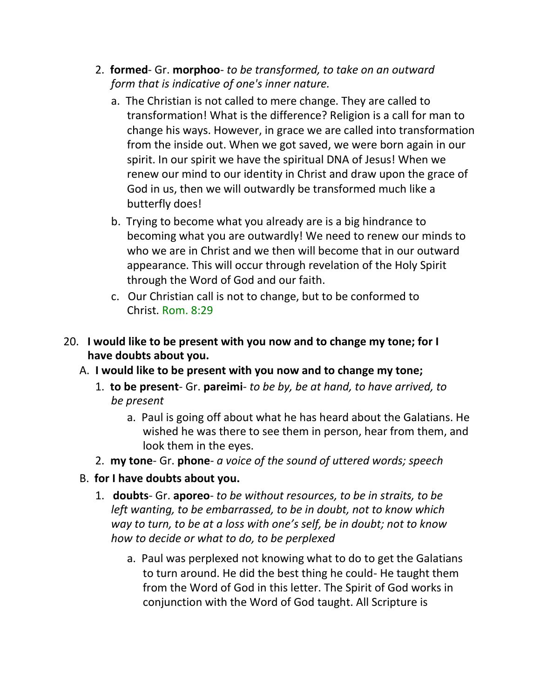- 2. **formed** Gr. **morphoo** *to be transformed, to take on an outward form that is indicative of one's inner nature.*
	- a. The Christian is not called to mere change. They are called to transformation! What is the difference? Religion is a call for man to change his ways. However, in grace we are called into transformation from the inside out. When we got saved, we were born again in our spirit. In our spirit we have the spiritual DNA of Jesus! When we renew our mind to our identity in Christ and draw upon the grace of God in us, then we will outwardly be transformed much like a butterfly does!
	- b. Trying to become what you already are is a big hindrance to becoming what you are outwardly! We need to renew our minds to who we are in Christ and we then will become that in our outward appearance. This will occur through revelation of the Holy Spirit through the Word of God and our faith.
	- c. Our Christian call is not to change, but to be conformed to Christ. Rom. 8:29
- 20. **I would like to be present with you now and to change my tone; for I have doubts about you.**
	- A. **I would like to be present with you now and to change my tone;**
		- 1. **to be present** Gr. **pareimi** *to be by, be at hand, to have arrived, to be present*
			- a. Paul is going off about what he has heard about the Galatians. He wished he was there to see them in person, hear from them, and look them in the eyes.
		- 2. **my tone** Gr. **phone** *a voice of the sound of uttered words; speech*
	- B. **for I have doubts about you.**
		- 1. **doubts** Gr. **aporeo** *to be without resources, to be in straits, to be left wanting, to be embarrassed, to be in doubt, not to know which way to turn, to be at a loss with one's self, be in doubt; not to know how to decide or what to do, to be perplexed*
			- a. Paul was perplexed not knowing what to do to get the Galatians to turn around. He did the best thing he could- He taught them from the Word of God in this letter. The Spirit of God works in conjunction with the Word of God taught. All Scripture is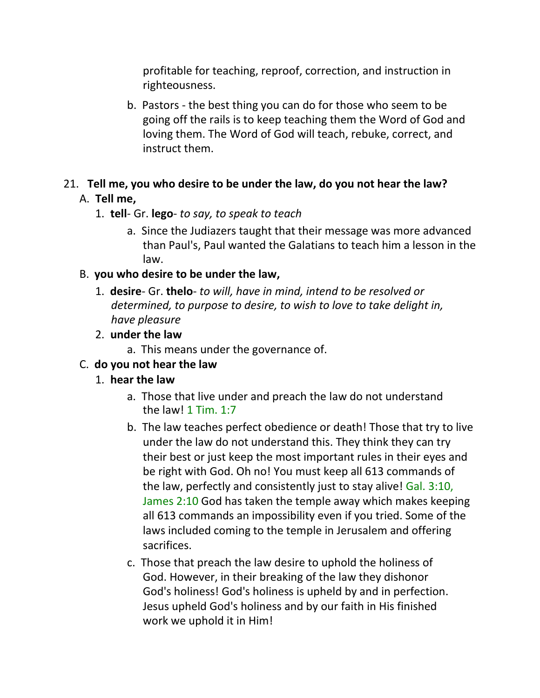profitable for teaching, reproof, correction, and instruction in righteousness.

b. Pastors - the best thing you can do for those who seem to be going off the rails is to keep teaching them the Word of God and loving them. The Word of God will teach, rebuke, correct, and instruct them.

#### 21. **Tell me, you who desire to be under the law, do you not hear the law?** A. **Tell me,**

#### 1. **tell**- Gr. **lego**- *to say, to speak to teach*

a. Since the Judiazers taught that their message was more advanced than Paul's, Paul wanted the Galatians to teach him a lesson in the law.

#### B. **you who desire to be under the law,**

1. **desire**- Gr. **thelo**- *to will, have in mind, intend to be resolved or determined, to purpose to desire, to wish to love to take delight in, have pleasure*

#### 2. **under the law**

a. This means under the governance of.

#### C. **do you not hear the law**

#### 1. **hear the law**

- a. Those that live under and preach the law do not understand the law! 1 Tim. 1:7
- b. The law teaches perfect obedience or death! Those that try to live under the law do not understand this. They think they can try their best or just keep the most important rules in their eyes and be right with God. Oh no! You must keep all 613 commands of the law, perfectly and consistently just to stay alive! Gal. 3:10, James 2:10 God has taken the temple away which makes keeping all 613 commands an impossibility even if you tried. Some of the laws included coming to the temple in Jerusalem and offering sacrifices.
- c. Those that preach the law desire to uphold the holiness of God. However, in their breaking of the law they dishonor God's holiness! God's holiness is upheld by and in perfection. Jesus upheld God's holiness and by our faith in His finished work we uphold it in Him!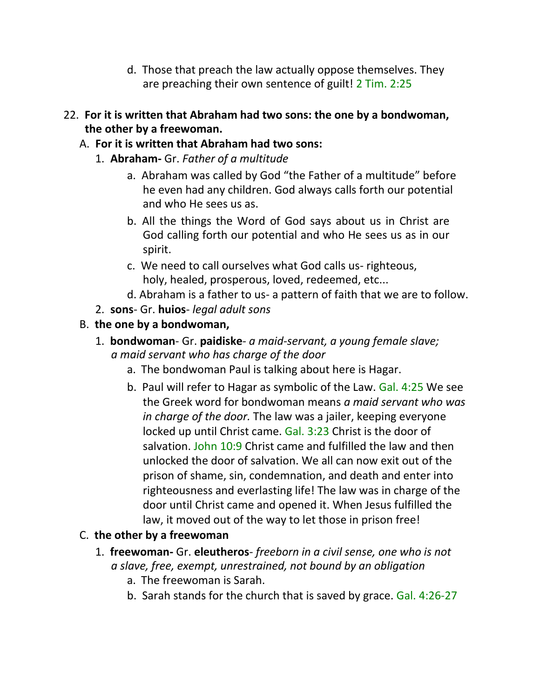- d. Those that preach the law actually oppose themselves. They are preaching their own sentence of guilt! 2 Tim. 2:25
- 22. **For it is written that Abraham had two sons: the one by a bondwoman, the other by a freewoman.**
	- A. **For it is written that Abraham had two sons:**
		- 1. **Abraham-** Gr. *Father of a multitude*
			- a. Abraham was called by God "the Father of a multitude" before he even had any children. God always calls forth our potential and who He sees us as.
			- b. All the things the Word of God says about us in Christ are God calling forth our potential and who He sees us as in our spirit.
			- c. We need to call ourselves what God calls us- righteous, holy, healed, prosperous, loved, redeemed, etc...
			- d. Abraham is a father to us- a pattern of faith that we are to follow.
		- 2. **sons** Gr. **huios** *legal adult sons*
	- B. **the one by a bondwoman,**
		- 1. **bondwoman** Gr. **paidiske** *a maid-servant, a young female slave; a maid servant who has charge of the door*
			- a. The bondwoman Paul is talking about here is Hagar.
			- b. Paul will refer to Hagar as symbolic of the Law. Gal. 4:25 We see the Greek word for bondwoman means *a maid servant who was in charge of the door.* The law was a jailer, keeping everyone locked up until Christ came. Gal. 3:23 Christ is the door of salvation. John 10:9 Christ came and fulfilled the law and then unlocked the door of salvation. We all can now exit out of the prison of shame, sin, condemnation, and death and enter into righteousness and everlasting life! The law was in charge of the door until Christ came and opened it. When Jesus fulfilled the law, it moved out of the way to let those in prison free!

# C. **the other by a freewoman**

- 1. **freewoman-** Gr. **eleutheros** *freeborn in a civil sense, one who is not a slave, free, exempt, unrestrained, not bound by an obligation*
	- a. The freewoman is Sarah.
	- b. Sarah stands for the church that is saved by grace. Gal. 4:26-27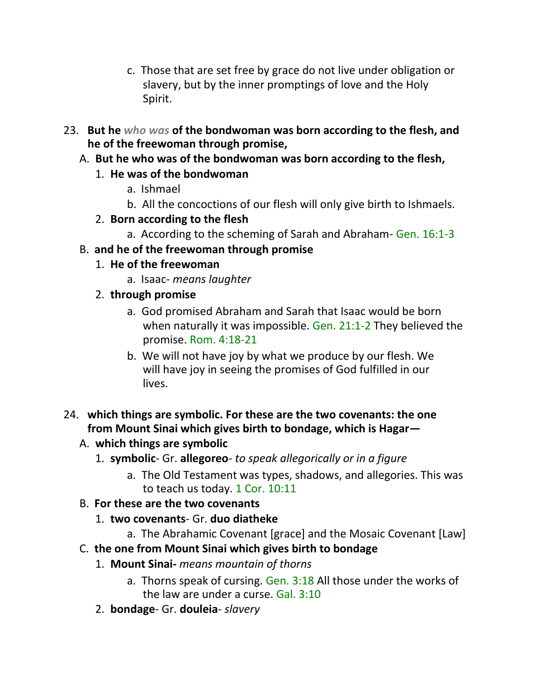- c. Those that are set free by grace do not live under obligation or slavery, but by the inner promptings of love and the Holy Spirit.
- 23. **But he** *who was* **of the bondwoman was born according to the flesh, and he of the freewoman through promise,**
	- A. **But he who was of the bondwoman was born according to the flesh,**
		- 1. **He was of the bondwoman**
			- a. Ishmael
			- b. All the concoctions of our flesh will only give birth to Ishmaels.
		- 2. **Born according to the flesh**
			- a. According to the scheming of Sarah and Abraham- Gen. 16:1-3
	- B. **and he of the freewoman through promise**
		- 1. **He of the freewoman**
			- a. Isaac- *means laughter*
		- 2. **through promise**
			- a. God promised Abraham and Sarah that Isaac would be born when naturally it was impossible. Gen. 21:1-2 They believed the promise. Rom. 4:18-21
			- b. We will not have joy by what we produce by our flesh. We will have joy in seeing the promises of God fulfilled in our lives.
- 24. **which things are symbolic. For these are the two covenants: the one from Mount Sinai which gives birth to bondage, which is Hagar—**
	- A. **which things are symbolic**
		- 1. **symbolic** Gr. **allegoreo** *to speak allegorically or in a figure*
			- a. The Old Testament was types, shadows, and allegories. This was to teach us today. 1 Cor. 10:11
	- B. **For these are the two covenants**
		- 1. **two covenants** Gr. **duo diatheke**
			- a. The Abrahamic Covenant [grace] and the Mosaic Covenant [Law]
	- C. **the one from Mount Sinai which gives birth to bondage**
		- 1. **Mount Sinai-** *means mountain of thorns*
			- a. Thorns speak of cursing. Gen. 3:18 All those under the works of the law are under a curse. Gal. 3:10
		- 2. **bondage** Gr. **douleia** *slavery*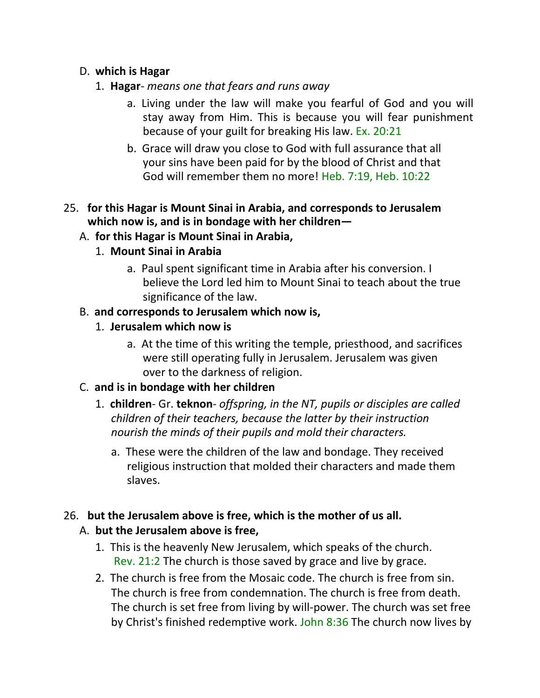### D. **which is Hagar**

- 1. **Hagar** *means one that fears and runs away*
	- a. Living under the law will make you fearful of God and you will stay away from Him. This is because you will fear punishment because of your guilt for breaking His law. Ex. 20:21
	- b. Grace will draw you close to God with full assurance that all your sins have been paid for by the blood of Christ and that God will remember them no more! Heb. 7:19, Heb. 10:22
- 25. **for this Hagar is Mount Sinai in Arabia, and corresponds to Jerusalem which now is, and is in bondage with her children—**

### A. **for this Hagar is Mount Sinai in Arabia,**

- 1. **Mount Sinai in Arabia**
	- a. Paul spent significant time in Arabia after his conversion. I believe the Lord led him to Mount Sinai to teach about the true significance of the law.

### B. **and corresponds to Jerusalem which now is,**

- 1. **Jerusalem which now is**
	- a. At the time of this writing the temple, priesthood, and sacrifices were still operating fully in Jerusalem. Jerusalem was given over to the darkness of religion.

## C. **and is in bondage with her children**

- 1. **children** Gr. **teknon** *offspring, in the NT, pupils or disciples are called children of their teachers, because the latter by their instruction nourish the minds of their pupils and mold their characters.*
	- a. These were the children of the law and bondage. They received religious instruction that molded their characters and made them slaves.

## 26. **but the Jerusalem above is free, which is the mother of us all.**

## A. **but the Jerusalem above is free,**

- 1. This is the heavenly New Jerusalem, which speaks of the church. Rev. 21:2 The church is those saved by grace and live by grace.
- 2. The church is free from the Mosaic code. The church is free from sin. The church is free from condemnation. The church is free from death. The church is set free from living by will-power. The church was set free by Christ's finished redemptive work. John 8:36 The church now lives by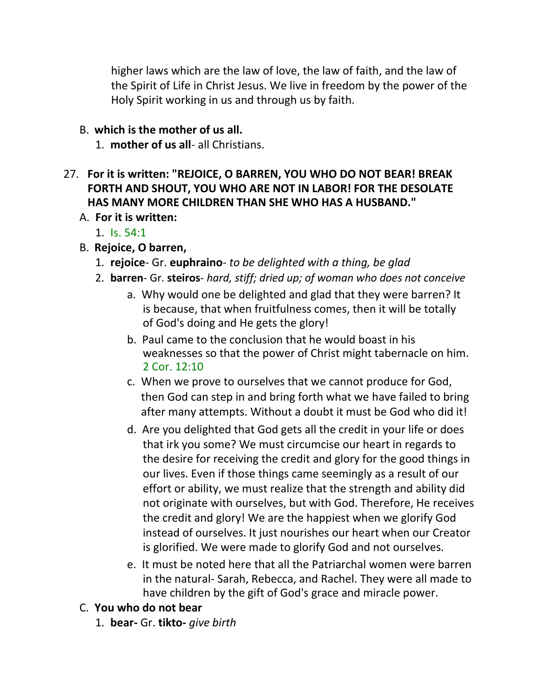higher laws which are the law of love, the law of faith, and the law of the Spirit of Life in Christ Jesus. We live in freedom by the power of the Holy Spirit working in us and through us by faith.

### B. **which is the mother of us all.**

1. **mother of us all**- all Christians.

## 27. **For it is written: "REJOICE, O BARREN, YOU WHO DO NOT BEAR! BREAK FORTH AND SHOUT, YOU WHO ARE NOT IN LABOR! FOR THE DESOLATE HAS MANY MORE CHILDREN THAN SHE WHO HAS A HUSBAND."**

- A. **For it is written:**
	- 1. Is. 54:1
- B. **Rejoice, O barren,**
	- 1. **rejoice** Gr. **euphraino** *to be delighted with a thing, be glad*
	- 2. **barren** Gr. **steiros** *hard, stiff; dried up; of woman who does not conceive*
		- a. Why would one be delighted and glad that they were barren? It is because, that when fruitfulness comes, then it will be totally of God's doing and He gets the glory!
		- b. Paul came to the conclusion that he would boast in his weaknesses so that the power of Christ might tabernacle on him. 2 Cor. 12:10
		- c. When we prove to ourselves that we cannot produce for God, then God can step in and bring forth what we have failed to bring after many attempts. Without a doubt it must be God who did it!
		- d. Are you delighted that God gets all the credit in your life or does that irk you some? We must circumcise our heart in regards to the desire for receiving the credit and glory for the good things in our lives. Even if those things came seemingly as a result of our effort or ability, we must realize that the strength and ability did not originate with ourselves, but with God. Therefore, He receives the credit and glory! We are the happiest when we glorify God instead of ourselves. It just nourishes our heart when our Creator is glorified. We were made to glorify God and not ourselves.
		- e. It must be noted here that all the Patriarchal women were barren in the natural- Sarah, Rebecca, and Rachel. They were all made to have children by the gift of God's grace and miracle power.

## C. **You who do not bear**

1. **bear-** Gr. **tikto-** *give birth*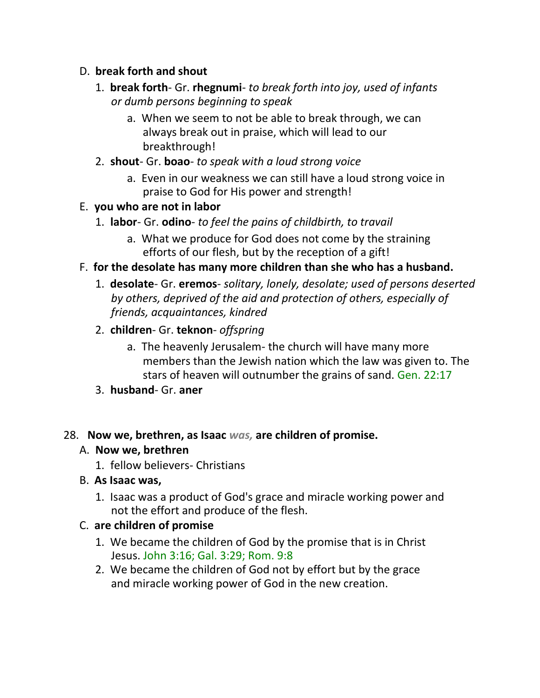### D. **break forth and shout**

- 1. **break forth** Gr. **rhegnumi** *to break forth into joy, used of infants or dumb persons beginning to speak*
	- a. When we seem to not be able to break through, we can always break out in praise, which will lead to our breakthrough!
- 2. **shout** Gr. **boao** *to speak with a loud strong voice*
	- a. Even in our weakness we can still have a loud strong voice in praise to God for His power and strength!

## E. **you who are not in labor**

- 1. **labor** Gr. **odino** *to feel the pains of childbirth, to travail*
	- a. What we produce for God does not come by the straining efforts of our flesh, but by the reception of a gift!

### F. **for the desolate has many more children than she who has a husband.**

- 1. **desolate** Gr. **eremos** *solitary, lonely, desolate; used of persons deserted by others, deprived of the aid and protection of others, especially of friends, acquaintances, kindred*
- 2. **children** Gr. **teknon** *offspring*
	- a. The heavenly Jerusalem- the church will have many more members than the Jewish nation which the law was given to. The stars of heaven will outnumber the grains of sand. Gen. 22:17
- 3. **husband** Gr. **aner**

#### 28. **Now we, brethren, as Isaac** *was,* **are children of promise.**

#### A. **Now we, brethren**

- 1. fellow believers- Christians
- B. **As Isaac was,**
	- 1. Isaac was a product of God's grace and miracle working power and not the effort and produce of the flesh.

#### C. **are children of promise**

- 1. We became the children of God by the promise that is in Christ Jesus. John 3:16; Gal. 3:29; Rom. 9:8
- 2. We became the children of God not by effort but by the grace and miracle working power of God in the new creation.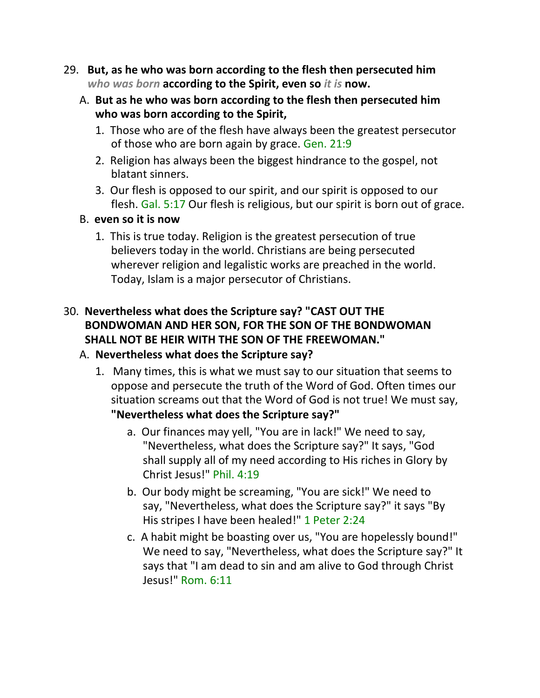- 29. **But, as he who was born according to the flesh then persecuted him** *who was born* **according to the Spirit, even so** *it is* **now.**
	- A. **But as he who was born according to the flesh then persecuted him who was born according to the Spirit,**
		- 1. Those who are of the flesh have always been the greatest persecutor of those who are born again by grace. Gen. 21:9
		- 2. Religion has always been the biggest hindrance to the gospel, not blatant sinners.
		- 3. Our flesh is opposed to our spirit, and our spirit is opposed to our flesh. Gal. 5:17 Our flesh is religious, but our spirit is born out of grace.
	- B. **even so it is now**
		- 1. This is true today. Religion is the greatest persecution of true believers today in the world. Christians are being persecuted wherever religion and legalistic works are preached in the world. Today, Islam is a major persecutor of Christians.

## 30. **Nevertheless what does the Scripture say? "CAST OUT THE BONDWOMAN AND HER SON, FOR THE SON OF THE BONDWOMAN SHALL NOT BE HEIR WITH THE SON OF THE FREEWOMAN."**

## A. **Nevertheless what does the Scripture say?**

- 1. Many times, this is what we must say to our situation that seems to oppose and persecute the truth of the Word of God. Often times our situation screams out that the Word of God is not true! We must say, **"Nevertheless what does the Scripture say?"**
	- a. Our finances may yell, "You are in lack!" We need to say, "Nevertheless, what does the Scripture say?" It says, "God shall supply all of my need according to His riches in Glory by Christ Jesus!" Phil. 4:19
	- b. Our body might be screaming, "You are sick!" We need to say, "Nevertheless, what does the Scripture say?" it says "By His stripes I have been healed!" 1 Peter 2:24
	- c. A habit might be boasting over us, "You are hopelessly bound!" We need to say, "Nevertheless, what does the Scripture say?" It says that "I am dead to sin and am alive to God through Christ Jesus!" Rom. 6:11